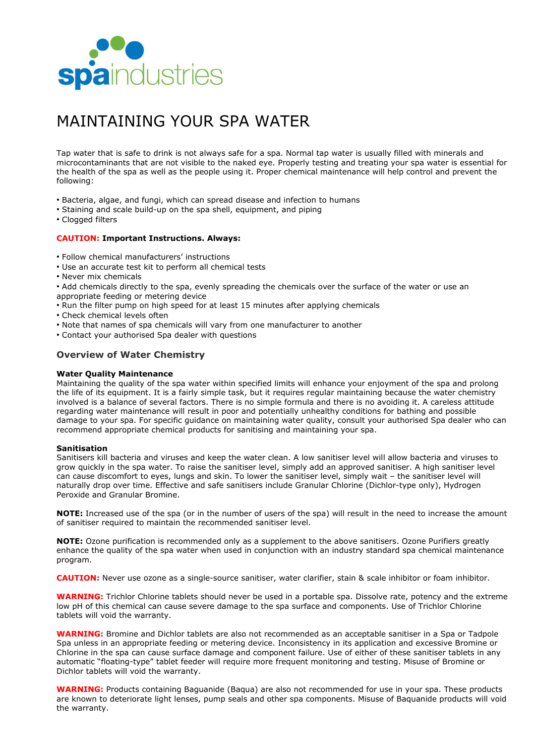

# MAINTAINING YOUR SPA WATER

Tap water that is safe to drink is not always safe for a spa. Normal tap water is usually filled with minerals and microcontaminants that are not visible to the naked eye. Properly testing and treating your spa water is essential for the health of the spa as well as the people using it. Proper chemical maintenance will help control and prevent the following:

- Bacteria, algae, and fungi, which can spread disease and infection to humans
- Staining and scale build-up on the spa shell, equipment, and piping
- Clogged filters

## **CAUTION: Important Instructions. Always:**

- Follow chemical manufacturers' instructions
- Use an accurate test kit to perform all chemical tests
- Never mix chemicals
- Add chemicals directly to the spa, evenly spreading the chemicals over the surface of the water or use an
- appropriate feeding or metering device
- Run the filter pump on high speed for at least 15 minutes after applying chemicals
- Check chemical levels often
- Note that names of spa chemicals will vary from one manufacturer to another
- Contact your authorised Spa dealer with questions

# **Overview of Water Chemistry**

#### **Water Quality Maintenance**

Maintaining the quality of the spa water within specified limits will enhance your enjoyment of the spa and prolong the life of its equipment. It is a fairly simple task, but it requires regular maintaining because the water chemistry involved is a balance of several factors. There is no simple formula and there is no avoiding it. A careless attitude regarding water maintenance will result in poor and potentially unhealthy conditions for bathing and possible damage to your spa. For specific guidance on maintaining water quality, consult your authorised Spa dealer who can recommend appropriate chemical products for sanitising and maintaining your spa.

#### **Sanitisation**

Sanitisers kill bacteria and viruses and keep the water clean. A low sanitiser level will allow bacteria and viruses to grow quickly in the spa water. To raise the sanitiser level, simply add an approved sanitiser. A high sanitiser level can cause discomfort to eyes, lungs and skin. To lower the sanitiser level, simply wait – the sanitiser level will naturally drop over time. Effective and safe sanitisers include Granular Chlorine (Dichlor-type only), Hydrogen Peroxide and Granular Bromine.

**NOTE:** Increased use of the spa (or in the number of users of the spa) will result in the need to increase the amount of sanitiser required to maintain the recommended sanitiser level.

**NOTE:** Ozone purification is recommended only as a supplement to the above sanitisers. Ozone Purifiers greatly enhance the quality of the spa water when used in conjunction with an industry standard spa chemical maintenance program.

**CAUTION:** Never use ozone as a single-source sanitiser, water clarifier, stain & scale inhibitor or foam inhibitor.

**WARNING:** Trichlor Chlorine tablets should never be used in a portable spa. Dissolve rate, potency and the extreme low pH of this chemical can cause severe damage to the spa surface and components. Use of Trichlor Chlorine tablets will void the warranty.

**WARNING:** Bromine and Dichlor tablets are also not recommended as an acceptable sanitiser in a Spa or Tadpole Spa unless in an appropriate feeding or metering device. Inconsistency in its application and excessive Bromine or Chlorine in the spa can cause surface damage and component failure. Use of either of these sanitiser tablets in any automatic "floating-type" tablet feeder will require more frequent monitoring and testing. Misuse of Bromine or Dichlor tablets will void the warranty.

**WARNING:** Products containing Baguanide (Baqua) are also not recommended for use in your spa. These products are known to deteriorate light lenses, pump seals and other spa components. Misuse of Baquanide products will void the warranty.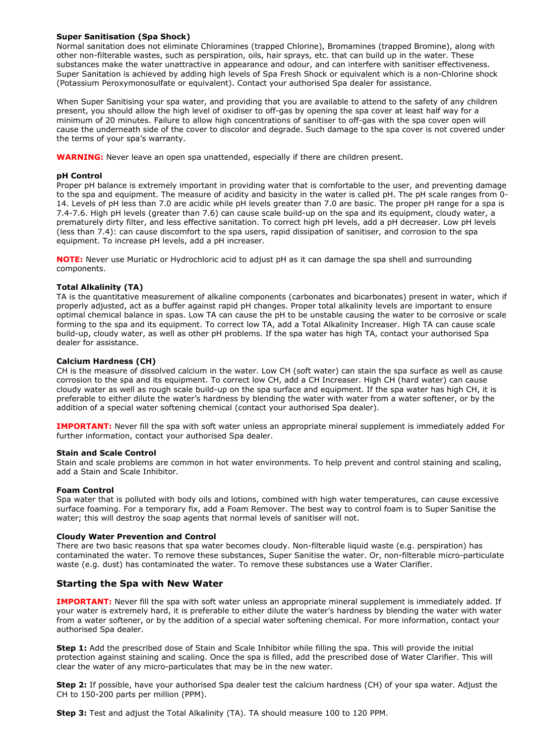# **Super Sanitisation (Spa Shock)**

Normal sanitation does not eliminate Chloramines (trapped Chlorine), Bromamines (trapped Bromine), along with other non-filterable wastes, such as perspiration, oils, hair sprays, etc. that can build up in the water. These substances make the water unattractive in appearance and odour, and can interfere with sanitiser effectiveness. Super Sanitation is achieved by adding high levels of Spa Fresh Shock or equivalent which is a non-Chlorine shock (Potassium Peroxymonosulfate or equivalent). Contact your authorised Spa dealer for assistance.

When Super Sanitising your spa water, and providing that you are available to attend to the safety of any children present, you should allow the high level of oxidiser to off-gas by opening the spa cover at least half way for a minimum of 20 minutes. Failure to allow high concentrations of sanitiser to off-gas with the spa cover open will cause the underneath side of the cover to discolor and degrade. Such damage to the spa cover is not covered under the terms of your spa's warranty.

**WARNING:** Never leave an open spa unattended, especially if there are children present.

### **pH Control**

Proper pH balance is extremely important in providing water that is comfortable to the user, and preventing damage to the spa and equipment. The measure of acidity and basicity in the water is called pH. The pH scale ranges from 0- 14. Levels of pH less than 7.0 are acidic while pH levels greater than 7.0 are basic. The proper pH range for a spa is 7.4-7.6. High pH levels (greater than 7.6) can cause scale build-up on the spa and its equipment, cloudy water, a prematurely dirty filter, and less effective sanitation. To correct high pH levels, add a pH decreaser. Low pH levels (less than 7.4): can cause discomfort to the spa users, rapid dissipation of sanitiser, and corrosion to the spa equipment. To increase pH levels, add a pH increaser.

**NOTE:** Never use Muriatic or Hydrochloric acid to adjust pH as it can damage the spa shell and surrounding components.

## **Total Alkalinity (TA)**

TA is the quantitative measurement of alkaline components (carbonates and bicarbonates) present in water, which if properly adjusted, act as a buffer against rapid pH changes. Proper total alkalinity levels are important to ensure optimal chemical balance in spas. Low TA can cause the pH to be unstable causing the water to be corrosive or scale forming to the spa and its equipment. To correct low TA, add a Total Alkalinity Increaser. High TA can cause scale build-up, cloudy water, as well as other pH problems. If the spa water has high TA, contact your authorised Spa dealer for assistance.

# **Calcium Hardness (CH)**

CH is the measure of dissolved calcium in the water. Low CH (soft water) can stain the spa surface as well as cause corrosion to the spa and its equipment. To correct low CH, add a CH Increaser. High CH (hard water) can cause cloudy water as well as rough scale build-up on the spa surface and equipment. If the spa water has high CH, it is preferable to either dilute the water's hardness by blending the water with water from a water softener, or by the addition of a special water softening chemical (contact your authorised Spa dealer).

**IMPORTANT:** Never fill the spa with soft water unless an appropriate mineral supplement is immediately added For further information, contact your authorised Spa dealer.

#### **Stain and Scale Control**

Stain and scale problems are common in hot water environments. To help prevent and control staining and scaling, add a Stain and Scale Inhibitor.

#### **Foam Control**

Spa water that is polluted with body oils and lotions, combined with high water temperatures, can cause excessive surface foaming. For a temporary fix, add a Foam Remover. The best way to control foam is to Super Sanitise the water; this will destroy the soap agents that normal levels of sanitiser will not.

## **Cloudy Water Prevention and Control**

There are two basic reasons that spa water becomes cloudy. Non-filterable liquid waste (e.g. perspiration) has contaminated the water. To remove these substances, Super Sanitise the water. Or, non-filterable micro-particulate waste (e.g. dust) has contaminated the water. To remove these substances use a Water Clarifier.

# **Starting the Spa with New Water**

**IMPORTANT:** Never fill the spa with soft water unless an appropriate mineral supplement is immediately added. If your water is extremely hard, it is preferable to either dilute the water's hardness by blending the water with water from a water softener, or by the addition of a special water softening chemical. For more information, contact your authorised Spa dealer.

**Step 1:** Add the prescribed dose of Stain and Scale Inhibitor while filling the spa. This will provide the initial protection against staining and scaling. Once the spa is filled, add the prescribed dose of Water Clarifier. This will clear the water of any micro-particulates that may be in the new water.

**Step 2:** If possible, have your authorised Spa dealer test the calcium hardness (CH) of your spa water. Adjust the CH to 150-200 parts per million (PPM).

**Step 3:** Test and adjust the Total Alkalinity (TA). TA should measure 100 to 120 PPM.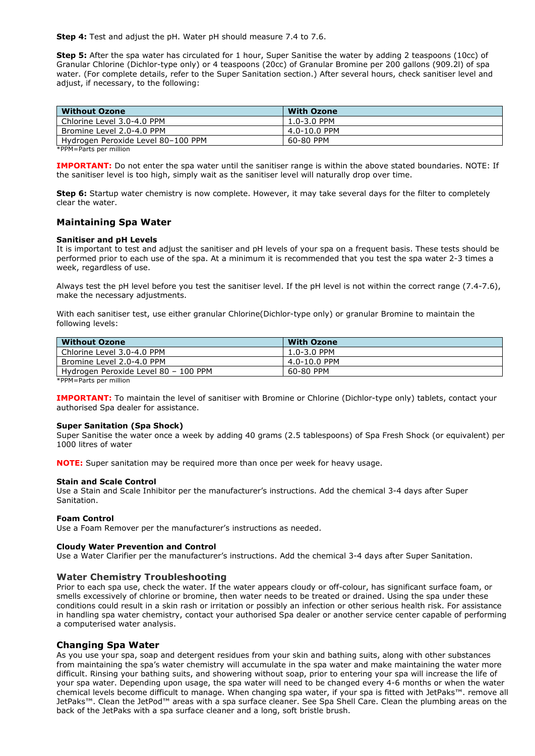**Step 4:** Test and adjust the pH. Water pH should measure 7.4 to 7.6.

**Step 5:** After the spa water has circulated for 1 hour, Super Sanitise the water by adding 2 teaspoons (10cc) of Granular Chlorine (Dichlor-type only) or 4 teaspoons (20cc) of Granular Bromine per 200 gallons (909.2l) of spa water. (For complete details, refer to the Super Sanitation section.) After several hours, check sanitiser level and adjust, if necessary, to the following:

| <b>Without Ozone</b>               | <b>With Ozone</b> |
|------------------------------------|-------------------|
| Chlorine Level 3.0-4.0 PPM         | $1.0 - 3.0$ PPM   |
| Bromine Level 2.0-4.0 PPM          | 4.0-10.0 PPM      |
| Hydrogen Peroxide Level 80-100 PPM | 60-80 PPM         |

\*PPM=Parts per million

**IMPORTANT:** Do not enter the spa water until the sanitiser range is within the above stated boundaries. NOTE: If the sanitiser level is too high, simply wait as the sanitiser level will naturally drop over time.

**Step 6:** Startup water chemistry is now complete. However, it may take several days for the filter to completely clear the water.

# **Maintaining Spa Water**

#### **Sanitiser and pH Levels**

It is important to test and adjust the sanitiser and pH levels of your spa on a frequent basis. These tests should be performed prior to each use of the spa. At a minimum it is recommended that you test the spa water 2-3 times a week, regardless of use.

Always test the pH level before you test the sanitiser level. If the pH level is not within the correct range (7.4-7.6), make the necessary adjustments.

With each sanitiser test, use either granular Chlorine(Dichlor-type only) or granular Bromine to maintain the following levels:

| <b>With Ozone</b> |
|-------------------|
| 1.0-3.0 PPM       |
| 4.0-10.0 PPM      |
| 60-80 PPM         |
|                   |

\*PPM=Parts per million

**IMPORTANT:** To maintain the level of sanitiser with Bromine or Chlorine (Dichlor-type only) tablets, contact your authorised Spa dealer for assistance.

#### **Super Sanitation (Spa Shock)**

Super Sanitise the water once a week by adding 40 grams (2.5 tablespoons) of Spa Fresh Shock (or equivalent) per 1000 litres of water

**NOTE:** Super sanitation may be required more than once per week for heavy usage.

#### **Stain and Scale Control**

Use a Stain and Scale Inhibitor per the manufacturer's instructions. Add the chemical 3-4 days after Super Sanitation.

## **Foam Control**

Use a Foam Remover per the manufacturer's instructions as needed.

## **Cloudy Water Prevention and Control**

Use a Water Clarifier per the manufacturer's instructions. Add the chemical 3-4 days after Super Sanitation.

## **Water Chemistry Troubleshooting**

Prior to each spa use, check the water. If the water appears cloudy or off-colour, has significant surface foam, or smells excessively of chlorine or bromine, then water needs to be treated or drained. Using the spa under these conditions could result in a skin rash or irritation or possibly an infection or other serious health risk. For assistance in handling spa water chemistry, contact your authorised Spa dealer or another service center capable of performing a computerised water analysis.

## **Changing Spa Water**

As you use your spa, soap and detergent residues from your skin and bathing suits, along with other substances from maintaining the spa's water chemistry will accumulate in the spa water and make maintaining the water more difficult. Rinsing your bathing suits, and showering without soap, prior to entering your spa will increase the life of your spa water. Depending upon usage, the spa water will need to be changed every 4-6 months or when the water chemical levels become difficult to manage. When changing spa water, if your spa is fitted with JetPaks™. remove all JetPaks™. Clean the JetPod™ areas with a spa surface cleaner. See Spa Shell Care. Clean the plumbing areas on the back of the JetPaks with a spa surface cleaner and a long, soft bristle brush.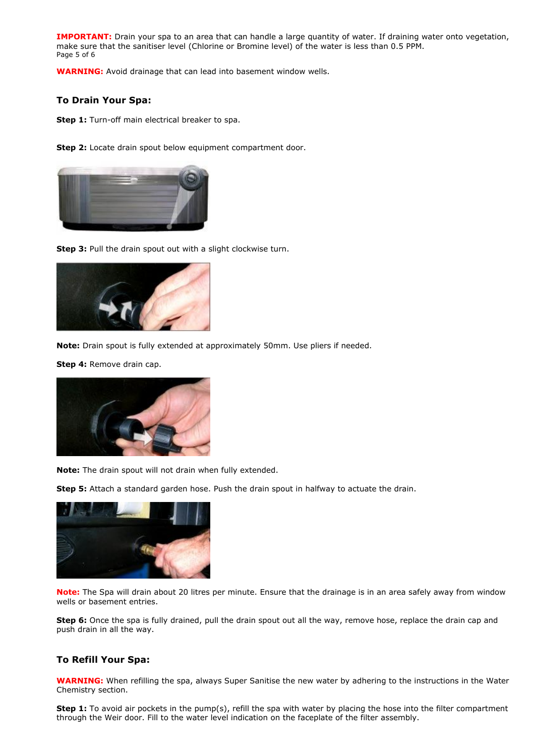**IMPORTANT:** Drain your spa to an area that can handle a large quantity of water. If draining water onto vegetation, make sure that the sanitiser level (Chlorine or Bromine level) of the water is less than 0.5 PPM. Page 5 of 6

**WARNING:** Avoid drainage that can lead into basement window wells.

# **To Drain Your Spa:**

**Step 1:** Turn-off main electrical breaker to spa.

**Step 2:** Locate drain spout below equipment compartment door.



**Step 3:** Pull the drain spout out with a slight clockwise turn.



**Note:** Drain spout is fully extended at approximately 50mm. Use pliers if needed.

**Step 4:** Remove drain cap.



**Note:** The drain spout will not drain when fully extended.

**Step 5:** Attach a standard garden hose. Push the drain spout in halfway to actuate the drain.



**Note:** The Spa will drain about 20 litres per minute. Ensure that the drainage is in an area safely away from window wells or basement entries.

**Step 6:** Once the spa is fully drained, pull the drain spout out all the way, remove hose, replace the drain cap and push drain in all the way.

# **To Refill Your Spa:**

**WARNING:** When refilling the spa, always Super Sanitise the new water by adhering to the instructions in the Water Chemistry section.

**Step 1:** To avoid air pockets in the pump(s), refill the spa with water by placing the hose into the filter compartment through the Weir door. Fill to the water level indication on the faceplate of the filter assembly.